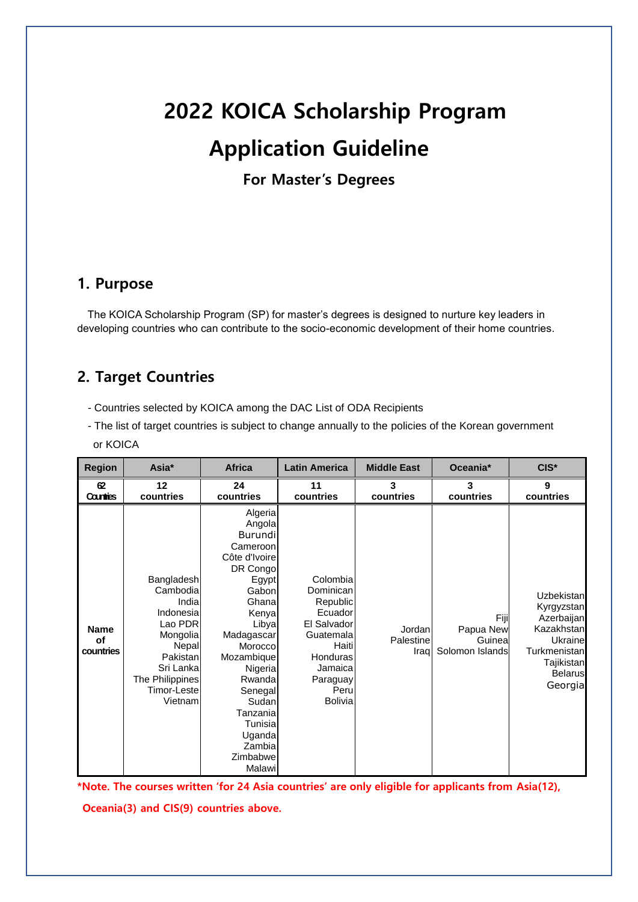# **2022 KOICA Scholarship Program Application Guideline**

**For Master's Degrees**

#### **1. Purpose**

The KOICA Scholarship Program (SP) for master's degrees is designed to nurture key leaders in developing countries who can contribute to the socio-economic development of their home countries.

### **2. Target Countries**

- Countries selected by KOICA among the DAC List of ODA Recipients
- The list of target countries is subject to change annually to the policies of the Korean government or KOICA

| <b>Region</b>                  | Asia*                                                                                                                                              | <b>Africa</b>                                                                                                                                                                                                                                                              | <b>Latin America</b>                                                                                                                           | <b>Middle East</b>          | Oceania*                                       | $CIS*$                                                                                                                     |
|--------------------------------|----------------------------------------------------------------------------------------------------------------------------------------------------|----------------------------------------------------------------------------------------------------------------------------------------------------------------------------------------------------------------------------------------------------------------------------|------------------------------------------------------------------------------------------------------------------------------------------------|-----------------------------|------------------------------------------------|----------------------------------------------------------------------------------------------------------------------------|
| 62<br>Counties                 | 12<br>countries                                                                                                                                    | 24<br>countries                                                                                                                                                                                                                                                            | 11<br>countries                                                                                                                                | 3<br>countries              | 3<br>countries                                 | 9<br>countries                                                                                                             |
| <b>Name</b><br>of<br>countries | Bangladesh<br>Cambodia<br>India<br>Indonesia<br>Lao PDR<br>Mongolia<br>Nepal<br>Pakistan<br>Sri Lanka<br>The Philippines<br>Timor-Leste<br>Vietnam | Algeria<br>Angola<br><b>Burundi</b><br>Cameroon<br>Côte d'Ivoire<br>DR Congo<br>Egypt<br>Gabon<br>Ghana<br>Kenya<br>Libya<br>Madagascar<br>Morocco<br>Mozambique<br>Nigeria<br>Rwanda<br>Senegal<br>Sudan<br>Tanzania<br>Tunisia<br>Uganda<br>Zambia<br>Zimbabwe<br>Malawi | Colombia<br>Dominican<br>Republic<br>Ecuador<br>El Salvador<br>Guatemala<br>Haiti<br>Honduras<br>Jamaica<br>Paraguay<br>Peru<br><b>Bolivia</b> | Jordan<br>Palestine<br>Iraq | Fiji<br>Papua New<br>Guinea<br>Solomon Islands | Uzbekistan<br>Kyrgyzstan<br>Azerbaijan<br>Kazakhstan<br>Ukraine<br>Turkmenistan<br>Tajikistan<br><b>Belarus</b><br>Georgia |

**\*Note. The courses written 'for 24 Asia countries' are only eligible for applicants from Asia(12),** 

**Oceania(3) and CIS(9) countries above.**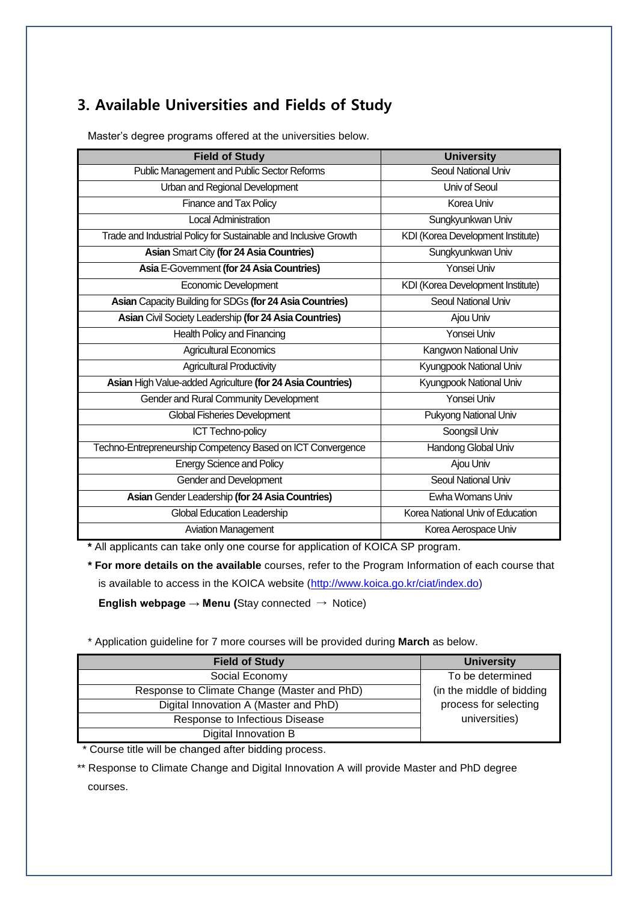### **3. Available Universities and Fields of Study**

| <b>Field of Study</b>                                            | <b>University</b>                 |
|------------------------------------------------------------------|-----------------------------------|
| Public Management and Public Sector Reforms                      | Seoul National Univ               |
| Urban and Regional Development                                   | Univ of Seoul                     |
| Finance and Tax Policy                                           | Korea Univ                        |
| <b>Local Administration</b>                                      | Sungkyunkwan Univ                 |
| Trade and Industrial Policy for Sustainable and Inclusive Growth | KDI (Korea Development Institute) |
| Asian Smart City (for 24 Asia Countries)                         | Sungkyunkwan Univ                 |
| Asia E-Government (for 24 Asia Countries)                        | Yonsei Univ                       |
| <b>Economic Development</b>                                      | KDI (Korea Development Institute) |
| Asian Capacity Building for SDGs (for 24 Asia Countries)         | <b>Seoul National Univ</b>        |
| Asian Civil Society Leadership (for 24 Asia Countries)           | Ajou Univ                         |
| <b>Health Policy and Financing</b>                               | Yonsei Univ                       |
| <b>Agricultural Economics</b>                                    | Kangwon National Univ             |
| <b>Agricultural Productivity</b>                                 | Kyungpook National Univ           |
| Asian High Value-added Agriculture (for 24 Asia Countries)       | Kyungpook National Univ           |
| Gender and Rural Community Development                           | <b>Yonsei Univ</b>                |
| Global Fisheries Development                                     | Pukyong National Univ             |
| <b>ICT Techno-policy</b>                                         | Soongsil Univ                     |
| Techno-Entrepreneurship Competency Based on ICT Convergence      | Handong Global Univ               |
| <b>Energy Science and Policy</b>                                 | Ajou Univ                         |
| Gender and Development                                           | Seoul National Univ               |
| Asian Gender Leadership (for 24 Asia Countries)                  | Ewha Womans Univ                  |
| Global Education Leadership                                      | Korea National Univ of Education  |
| <b>Aviation Management</b>                                       | Korea Aerospace Univ              |

Master's degree programs offered at the universities below.

**\*** All applicants can take only one course for application of KOICA SP program.

**\* For more details on the available** courses, refer to the Program Information of each course that is available to access in the KOICA website [\(http://www.koica.go.kr/ciat/index.do\)](http://www.koica.go.kr/ciat/index.do)

**English webpage → Menu (**Stay connected → Notice)

\* Application guideline for 7 more courses will be provided during **March** as below.

| <b>Field of Study</b>                       | <b>University</b>         |
|---------------------------------------------|---------------------------|
| Social Economy                              | To be determined          |
| Response to Climate Change (Master and PhD) | (in the middle of bidding |
| Digital Innovation A (Master and PhD)       | process for selecting     |
| Response to Infectious Disease              | universities)             |
| Digital Innovation B                        |                           |

\* Course title will be changed after bidding process.

\*\* Response to Climate Change and Digital Innovation A will provide Master and PhD degree courses.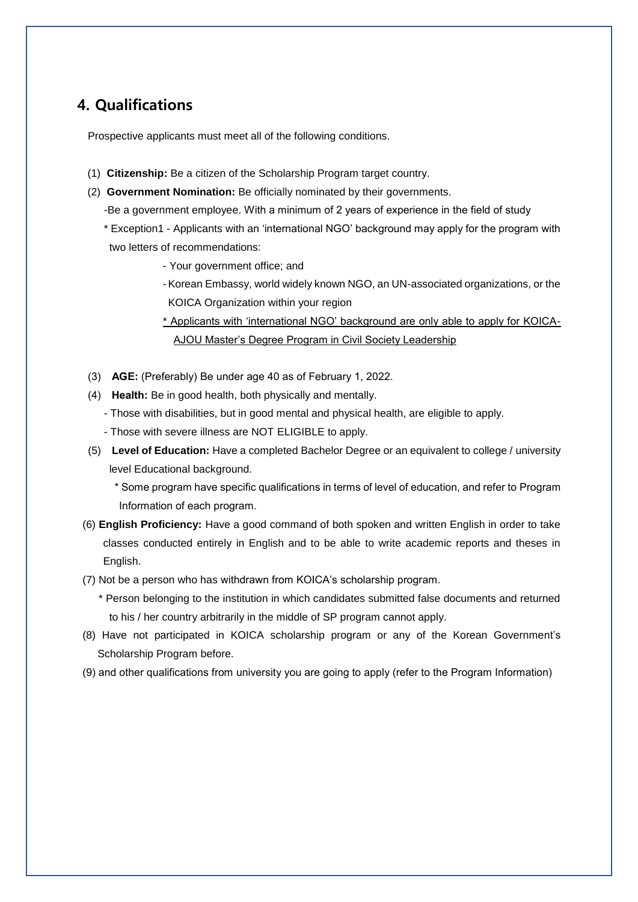#### **4. Qualifications**

Prospective applicants must meet all of the following conditions.

- (1) **Citizenship:** Be a citizen of the Scholarship Program target country.
- (2) **Government Nomination:** Be officially nominated by their governments.
	- -Be a government employee. With a minimum of 2 years of experience in the field of study
	- \* Exception1 Applicants with an 'international NGO' background may apply for the program with two letters of recommendations:
		- Your government office; and
		- -Korean Embassy, world widely known NGO, an UN-associated organizations, or the KOICA Organization within your region
		- \* Applicants with 'international NGO' background are only able to apply for KOICA-AJOU Master's Degree Program in Civil Society Leadership
- (3) **AGE:** (Preferably) Be under age 40 as of February 1, 2022.
- (4) **Health:** Be in good health, both physically and mentally.
	- Those with disabilities, but in good mental and physical health, are eligible to apply.
	- Those with severe illness are NOT ELIGIBLE to apply.
- (5) **Level of Education:** Have a completed Bachelor Degree or an equivalent to college / university level Educational background.
	- \* Some program have specific qualifications in terms of level of education, and refer to Program Information of each program.
- (6) **English Proficiency:** Have a good command of both spoken and written English in order to take classes conducted entirely in English and to be able to write academic reports and theses in English.
- (7) Not be a person who has withdrawn from KOICA's scholarship program.
	- \* Person belonging to the institution in which candidates submitted false documents and returned to his / her country arbitrarily in the middle of SP program cannot apply.
- (8) Have not participated in KOICA scholarship program or any of the Korean Government's Scholarship Program before.
- (9) and other qualifications from university you are going to apply (refer to the Program Information)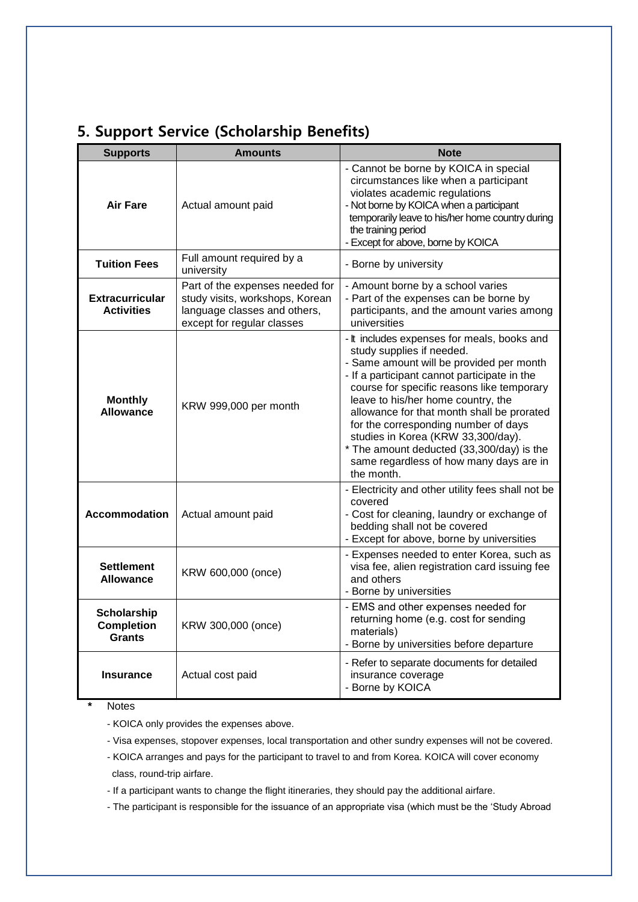| <b>Supports</b>                                             | <b>Amounts</b>                                                                                                                   | <b>Note</b>                                                                                                                                                                                                                                                                                                                                                                                                                                                                                |  |
|-------------------------------------------------------------|----------------------------------------------------------------------------------------------------------------------------------|--------------------------------------------------------------------------------------------------------------------------------------------------------------------------------------------------------------------------------------------------------------------------------------------------------------------------------------------------------------------------------------------------------------------------------------------------------------------------------------------|--|
| <b>Air Fare</b>                                             | Actual amount paid                                                                                                               | - Cannot be borne by KOICA in special<br>circumstances like when a participant<br>violates academic regulations<br>- Not borne by KOICA when a participant<br>temporarily leave to his/her home country during<br>the training period<br>- Except for above, borne by KOICA                                                                                                                                                                                                                |  |
| <b>Tuition Fees</b>                                         | Full amount required by a<br>university                                                                                          | - Borne by university                                                                                                                                                                                                                                                                                                                                                                                                                                                                      |  |
| <b>Extracurricular</b><br><b>Activities</b>                 | Part of the expenses needed for<br>study visits, workshops, Korean<br>language classes and others,<br>except for regular classes | - Amount borne by a school varies<br>- Part of the expenses can be borne by<br>participants, and the amount varies among<br>universities                                                                                                                                                                                                                                                                                                                                                   |  |
| <b>Monthly</b><br>KRW 999,000 per month<br><b>Allowance</b> |                                                                                                                                  | - It includes expenses for meals, books and<br>study supplies if needed.<br>- Same amount will be provided per month<br>- If a participant cannot participate in the<br>course for specific reasons like temporary<br>leave to his/her home country, the<br>allowance for that month shall be prorated<br>for the corresponding number of days<br>studies in Korea (KRW 33,300/day).<br>* The amount deducted (33,300/day) is the<br>same regardless of how many days are in<br>the month. |  |
| <b>Accommodation</b><br>Actual amount paid                  |                                                                                                                                  | - Electricity and other utility fees shall not be<br>covered<br>- Cost for cleaning, laundry or exchange of<br>bedding shall not be covered<br>- Except for above, borne by universities                                                                                                                                                                                                                                                                                                   |  |
| <b>Settlement</b><br>KRW 600,000 (once)<br><b>Allowance</b> |                                                                                                                                  | - Expenses needed to enter Korea, such as<br>visa fee, alien registration card issuing fee<br>and others<br>- Borne by universities                                                                                                                                                                                                                                                                                                                                                        |  |
| <b>Scholarship</b><br><b>Completion</b><br><b>Grants</b>    | KRW 300,000 (once)                                                                                                               | - EMS and other expenses needed for<br>returning home (e.g. cost for sending<br>materials)<br>- Borne by universities before departure                                                                                                                                                                                                                                                                                                                                                     |  |
| Actual cost paid<br><b>Insurance</b>                        |                                                                                                                                  | - Refer to separate documents for detailed<br>insurance coverage<br>- Borne by KOICA                                                                                                                                                                                                                                                                                                                                                                                                       |  |

#### **5. Support Service (Scholarship Benefits)**

**\*** Notes

- KOICA only provides the expenses above.

- Visa expenses, stopover expenses, local transportation and other sundry expenses will not be covered.

- KOICA arranges and pays for the participant to travel to and from Korea. KOICA will cover economy class, round-trip airfare.

- If a participant wants to change the flight itineraries, they should pay the additional airfare.

- The participant is responsible for the issuance of an appropriate visa (which must be the 'Study Abroad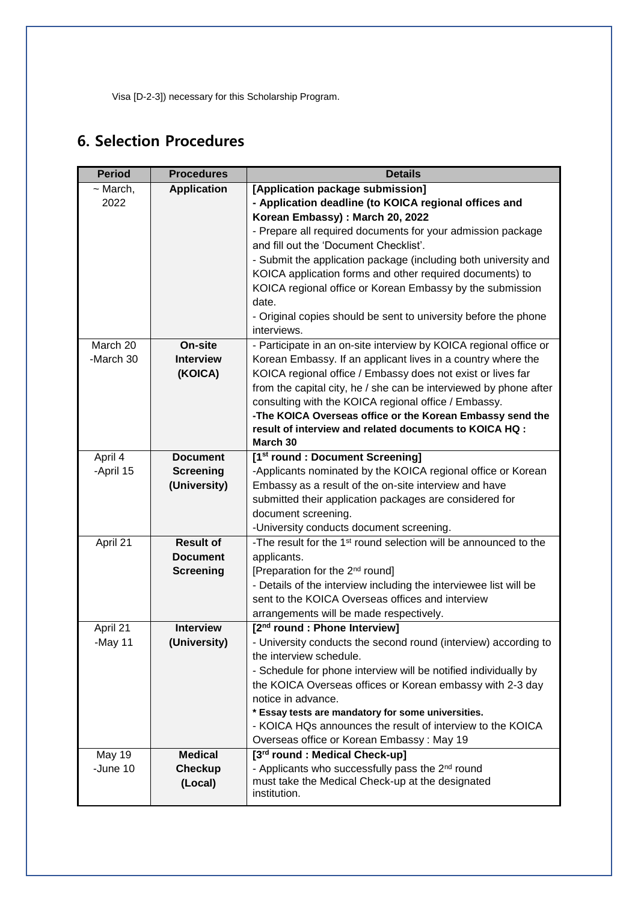Visa [D-2-3]) necessary for this Scholarship Program.

## **6. Selection Procedures**

| <b>Period</b> | <b>Procedures</b>  | <b>Details</b>                                                               |
|---------------|--------------------|------------------------------------------------------------------------------|
| $\sim$ March, | <b>Application</b> | [Application package submission]                                             |
| 2022          |                    | - Application deadline (to KOICA regional offices and                        |
|               |                    | Korean Embassy) : March 20, 2022                                             |
|               |                    | - Prepare all required documents for your admission package                  |
|               |                    | and fill out the 'Document Checklist'.                                       |
|               |                    | - Submit the application package (including both university and              |
|               |                    | KOICA application forms and other required documents) to                     |
|               |                    | KOICA regional office or Korean Embassy by the submission                    |
|               |                    | date.                                                                        |
|               |                    | - Original copies should be sent to university before the phone              |
|               |                    | interviews.                                                                  |
| March 20      | On-site            | - Participate in an on-site interview by KOICA regional office or            |
| -March 30     | <b>Interview</b>   | Korean Embassy. If an applicant lives in a country where the                 |
|               | (KOICA)            | KOICA regional office / Embassy does not exist or lives far                  |
|               |                    | from the capital city, he / she can be interviewed by phone after            |
|               |                    | consulting with the KOICA regional office / Embassy.                         |
|               |                    | -The KOICA Overseas office or the Korean Embassy send the                    |
|               |                    | result of interview and related documents to KOICA HQ :                      |
|               |                    | March 30                                                                     |
| April 4       | <b>Document</b>    | [1 <sup>st</sup> round : Document Screening]                                 |
| -April 15     | <b>Screening</b>   | -Applicants nominated by the KOICA regional office or Korean                 |
|               | (University)       | Embassy as a result of the on-site interview and have                        |
|               |                    | submitted their application packages are considered for                      |
|               |                    | document screening.                                                          |
|               |                    | -University conducts document screening.                                     |
| April 21      | <b>Result of</b>   | -The result for the 1 <sup>st</sup> round selection will be announced to the |
|               | <b>Document</b>    | applicants.                                                                  |
|               | <b>Screening</b>   | [Preparation for the 2 <sup>nd</sup> round]                                  |
|               |                    | - Details of the interview including the interviewee list will be            |
|               |                    | sent to the KOICA Overseas offices and interview                             |
|               |                    | arrangements will be made respectively.                                      |
| April 21      | <b>Interview</b>   | [2 <sup>nd</sup> round : Phone Interview]                                    |
| -May 11       | (University)       | - University conducts the second round (interview) according to              |
|               |                    | the interview schedule.                                                      |
|               |                    | - Schedule for phone interview will be notified individually by              |
|               |                    | the KOICA Overseas offices or Korean embassy with 2-3 day                    |
|               |                    | notice in advance.<br>* Essay tests are mandatory for some universities.     |
|               |                    | - KOICA HQs announces the result of interview to the KOICA                   |
|               |                    | Overseas office or Korean Embassy: May 19                                    |
| <b>May 19</b> | <b>Medical</b>     | [3 <sup>rd</sup> round : Medical Check-up]                                   |
| -June 10      | <b>Checkup</b>     | - Applicants who successfully pass the 2 <sup>nd</sup> round                 |
|               | (Local)            | must take the Medical Check-up at the designated                             |
|               |                    | institution.                                                                 |
|               |                    |                                                                              |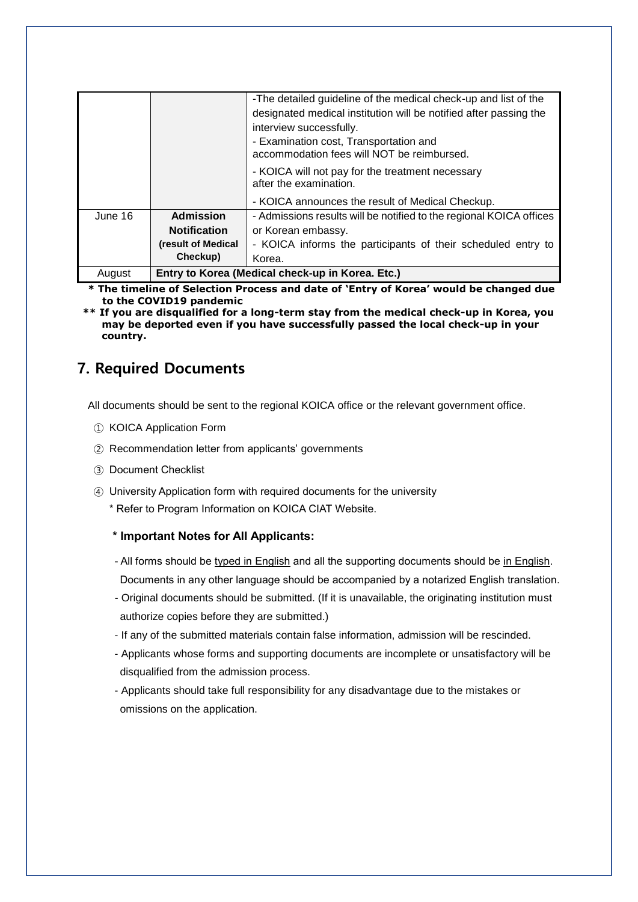|         |                                                  | -The detailed guideline of the medical check-up and list of the     |
|---------|--------------------------------------------------|---------------------------------------------------------------------|
|         |                                                  | designated medical institution will be notified after passing the   |
|         |                                                  | interview successfully.                                             |
|         |                                                  | - Examination cost, Transportation and                              |
|         |                                                  | accommodation fees will NOT be reimbursed.                          |
|         |                                                  | - KOICA will not pay for the treatment necessary                    |
|         |                                                  | after the examination.                                              |
|         |                                                  | - KOICA announces the result of Medical Checkup.                    |
| June 16 | <b>Admission</b>                                 | - Admissions results will be notified to the regional KOICA offices |
|         | <b>Notification</b>                              | or Korean embassy.                                                  |
|         | (result of Medical                               | - KOICA informs the participants of their scheduled entry to        |
|         | Checkup)                                         | Korea.                                                              |
| August  | Entry to Korea (Medical check-up in Korea. Etc.) |                                                                     |

**\* The timeline of Selection Process and date of 'Entry of Korea' would be changed due to the COVID19 pandemic**

**\*\* If you are disqualified for a long-term stay from the medical check-up in Korea, you may be deported even if you have successfully passed the local check-up in your country.**

#### **7. Required Documents**

All documents should be sent to the regional KOICA office or the relevant government office.

- ① KOICA Application Form
- ② Recommendation letter from applicants' governments
- ③ Document Checklist
- ④ University Application form with required documents for the university
	- \* Refer to Program Information on KOICA CIAT Website.

#### **\* Important Notes for All Applicants:**

- All forms should be typed in English and all the supporting documents should be in English. Documents in any other language should be accompanied by a notarized English translation.
- Original documents should be submitted. (If it is unavailable, the originating institution must authorize copies before they are submitted.)
- If any of the submitted materials contain false information, admission will be rescinded.
- Applicants whose forms and supporting documents are incomplete or unsatisfactory will be disqualified from the admission process.
- Applicants should take full responsibility for any disadvantage due to the mistakes or omissions on the application.